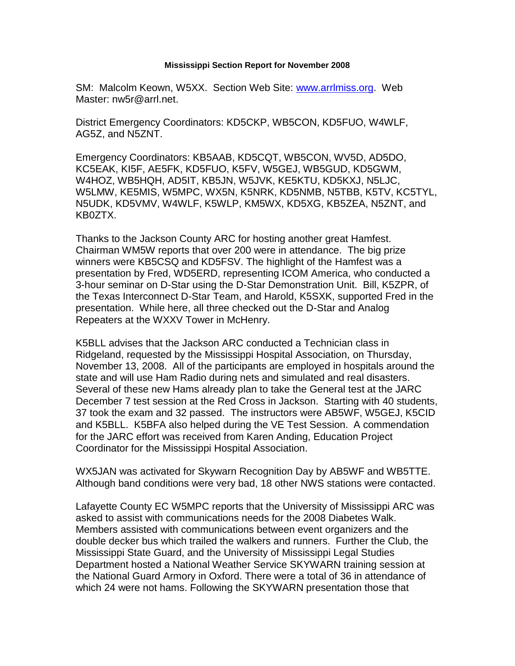## **Mississippi Section Report for November 2008**

SM: Malcolm Keown, W5XX. Section Web Site: [www.arrlmiss.org.](http://www.arrlmiss.org/) Web Master: nw5r@arrl.net.

District Emergency Coordinators: KD5CKP, WB5CON, KD5FUO, W4WLF, AG5Z, and N5ZNT.

Emergency Coordinators: KB5AAB, KD5CQT, WB5CON, WV5D, AD5DO, KC5EAK, KI5F, AE5FK, KD5FUO, K5FV, W5GEJ, WB5GUD, KD5GWM, W4HOZ, WB5HQH, AD5IT, KB5JN, W5JVK, KE5KTU, KD5KXJ, N5LJC, W5LMW, KE5MIS, W5MPC, WX5N, K5NRK, KD5NMB, N5TBB, K5TV, KC5TYL, N5UDK, KD5VMV, W4WLF, K5WLP, KM5WX, KD5XG, KB5ZEA, N5ZNT, and KB0ZTX.

Thanks to the Jackson County ARC for hosting another great Hamfest. Chairman WM5W reports that over 200 were in attendance. The big prize winners were KB5CSQ and KD5FSV. The highlight of the Hamfest was a presentation by Fred, WD5ERD, representing ICOM America, who conducted a 3-hour seminar on D-Star using the D-Star Demonstration Unit. Bill, K5ZPR, of the Texas Interconnect D-Star Team, and Harold, K5SXK, supported Fred in the presentation. While here, all three checked out the D-Star and Analog Repeaters at the WXXV Tower in McHenry.

K5BLL advises that the Jackson ARC conducted a Technician class in Ridgeland, requested by the Mississippi Hospital Association, on Thursday, November 13, 2008. All of the participants are employed in hospitals around the state and will use Ham Radio during nets and simulated and real disasters. Several of these new Hams already plan to take the General test at the JARC December 7 test session at the Red Cross in Jackson. Starting with 40 students, 37 took the exam and 32 passed. The instructors were AB5WF, W5GEJ, K5CID and K5BLL. K5BFA also helped during the VE Test Session. A commendation for the JARC effort was received from Karen Anding, Education Project Coordinator for the Mississippi Hospital Association.

WX5JAN was activated for Skywarn Recognition Day by AB5WF and WB5TTE. Although band conditions were very bad, 18 other NWS stations were contacted.

Lafayette County EC W5MPC reports that the University of Mississippi ARC was asked to assist with communications needs for the 2008 Diabetes Walk. Members assisted with communications between event organizers and the double decker bus which trailed the walkers and runners. Further the Club, the Mississippi State Guard, and the University of Mississippi Legal Studies Department hosted a National Weather Service SKYWARN training session at the National Guard Armory in Oxford. There were a total of 36 in attendance of which 24 were not hams. Following the SKYWARN presentation those that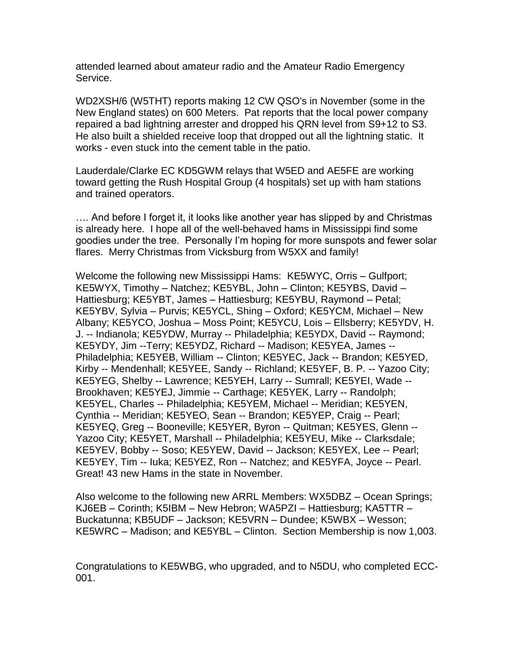attended learned about amateur radio and the Amateur Radio Emergency Service.

WD2XSH/6 (W5THT) reports making 12 CW QSO's in November (some in the New England states) on 600 Meters. Pat reports that the local power company repaired a bad lightning arrester and dropped his QRN level from S9+12 to S3. He also built a shielded receive loop that dropped out all the lightning static. It works - even stuck into the cement table in the patio.

Lauderdale/Clarke EC KD5GWM relays that W5ED and AE5FE are working toward getting the Rush Hospital Group (4 hospitals) set up with ham stations and trained operators.

…. And before I forget it, it looks like another year has slipped by and Christmas is already here. I hope all of the well-behaved hams in Mississippi find some goodies under the tree. Personally I'm hoping for more sunspots and fewer solar flares. Merry Christmas from Vicksburg from W5XX and family!

Welcome the following new Mississippi Hams: KE5WYC, Orris – Gulfport; KE5WYX, Timothy – Natchez; KE5YBL, John – Clinton; KE5YBS, David – Hattiesburg; KE5YBT, James – Hattiesburg; KE5YBU, Raymond – Petal; KE5YBV, Sylvia – Purvis; KE5YCL, Shing – Oxford; KE5YCM, Michael – New Albany; KE5YCO, Joshua – Moss Point; KE5YCU, Lois – Ellsberry; KE5YDV, H. J. -- Indianola; KE5YDW, Murray -- Philadelphia; KE5YDX, David -- Raymond; KE5YDY, Jim --Terry; KE5YDZ, Richard -- Madison; KE5YEA, James -- Philadelphia; KE5YEB, William -- Clinton; KE5YEC, Jack -- Brandon; KE5YED, Kirby -- Mendenhall; KE5YEE, Sandy -- Richland; KE5YEF, B. P. -- Yazoo City; KE5YEG, Shelby -- Lawrence; KE5YEH, Larry -- Sumrall; KE5YEI, Wade -- Brookhaven; KE5YEJ, Jimmie -- Carthage; KE5YEK, Larry -- Randolph; KE5YEL, Charles -- Philadelphia; KE5YEM, Michael -- Meridian; KE5YEN, Cynthia -- Meridian; KE5YEO, Sean -- Brandon; KE5YEP, Craig -- Pearl; KE5YEQ, Greg -- Booneville; KE5YER, Byron -- Quitman; KE5YES, Glenn -- Yazoo City; KE5YET, Marshall -- Philadelphia; KE5YEU, Mike -- Clarksdale; KE5YEV, Bobby -- Soso; KE5YEW, David -- Jackson; KE5YEX, Lee -- Pearl; KE5YEY, Tim -- Iuka; KE5YEZ, Ron -- Natchez; and KE5YFA, Joyce -- Pearl. Great! 43 new Hams in the state in November.

Also welcome to the following new ARRL Members: WX5DBZ – Ocean Springs; KJ6EB – Corinth; K5IBM – New Hebron; WA5PZI – Hattiesburg; KA5TTR – Buckatunna; KB5UDF – Jackson; KE5VRN – Dundee; K5WBX – Wesson; KE5WRC – Madison; and KE5YBL – Clinton. Section Membership is now 1,003.

Congratulations to KE5WBG, who upgraded, and to N5DU, who completed ECC-001.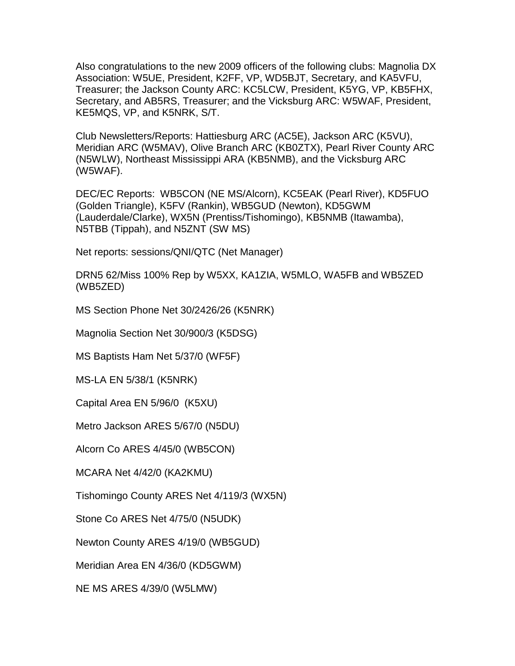Also congratulations to the new 2009 officers of the following clubs: Magnolia DX Association: W5UE, President, K2FF, VP, WD5BJT, Secretary, and KA5VFU, Treasurer; the Jackson County ARC: KC5LCW, President, K5YG, VP, KB5FHX, Secretary, and AB5RS, Treasurer; and the Vicksburg ARC: W5WAF, President, KE5MQS, VP, and K5NRK, S/T.

Club Newsletters/Reports: Hattiesburg ARC (AC5E), Jackson ARC (K5VU), Meridian ARC (W5MAV), Olive Branch ARC (KB0ZTX), Pearl River County ARC (N5WLW), Northeast Mississippi ARA (KB5NMB), and the Vicksburg ARC (W5WAF).

DEC/EC Reports: WB5CON (NE MS/Alcorn), KC5EAK (Pearl River), KD5FUO (Golden Triangle), K5FV (Rankin), WB5GUD (Newton), KD5GWM (Lauderdale/Clarke), WX5N (Prentiss/Tishomingo), KB5NMB (Itawamba), N5TBB (Tippah), and N5ZNT (SW MS)

Net reports: sessions/QNI/QTC (Net Manager)

DRN5 62/Miss 100% Rep by W5XX, KA1ZIA, W5MLO, WA5FB and WB5ZED (WB5ZED)

MS Section Phone Net 30/2426/26 (K5NRK)

Magnolia Section Net 30/900/3 (K5DSG)

MS Baptists Ham Net 5/37/0 (WF5F)

MS-LA EN 5/38/1 (K5NRK)

Capital Area EN 5/96/0 (K5XU)

Metro Jackson ARES 5/67/0 (N5DU)

Alcorn Co ARES 4/45/0 (WB5CON)

MCARA Net 4/42/0 (KA2KMU)

Tishomingo County ARES Net 4/119/3 (WX5N)

Stone Co ARES Net 4/75/0 (N5UDK)

Newton County ARES 4/19/0 (WB5GUD)

Meridian Area EN 4/36/0 (KD5GWM)

NE MS ARES 4/39/0 (W5LMW)